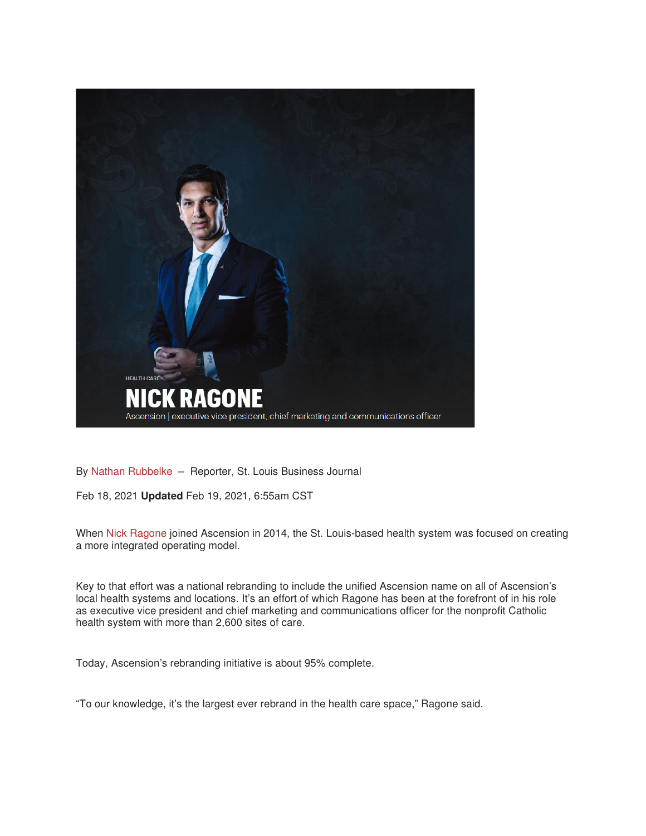

By Nathan Rubbelke – Reporter, St. Louis Business Journal

Feb 18, 2021 **Updated** Feb 19, 2021, 6:55am CST

When Nick Ragone joined Ascension in 2014, the St. Louis-based health system was focused on creating a more integrated operating model.

Key to that effort was a national rebranding to include the unified Ascension name on all of Ascension's local health systems and locations. It's an effort of which Ragone has been at the forefront of in his role as executive vice president and chief marketing and communications officer for the nonprofit Catholic health system with more than 2,600 sites of care.

Today, Ascension's rebranding initiative is about 95% complete.

"To our knowledge, it's the largest ever rebrand in the health care space," Ragone said.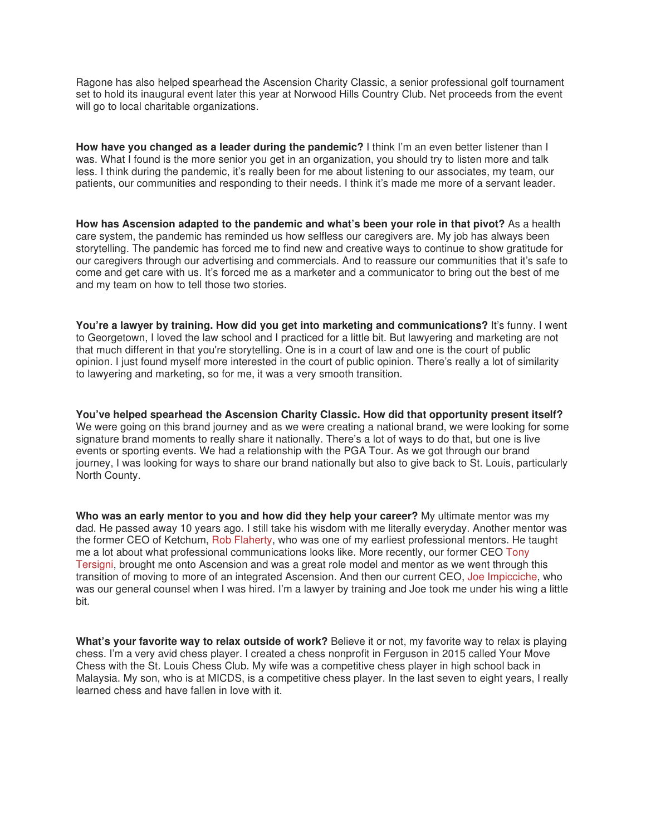Ragone has also helped spearhead the Ascension Charity Classic, a senior professional golf tournament set to hold its inaugural event later this year at Norwood Hills Country Club. Net proceeds from the event will go to local charitable organizations.

**How have you changed as a leader during the pandemic?** I think I'm an even better listener than I was. What I found is the more senior you get in an organization, you should try to listen more and talk less. I think during the pandemic, it's really been for me about listening to our associates, my team, our patients, our communities and responding to their needs. I think it's made me more of a servant leader.

**How has Ascension adapted to the pandemic and what's been your role in that pivot?** As a health care system, the pandemic has reminded us how selfless our caregivers are. My job has always been storytelling. The pandemic has forced me to find new and creative ways to continue to show gratitude for our caregivers through our advertising and commercials. And to reassure our communities that it's safe to come and get care with us. It's forced me as a marketer and a communicator to bring out the best of me and my team on how to tell those two stories.

**You're a lawyer by training. How did you get into marketing and communications?** It's funny. I went to Georgetown, I loved the law school and I practiced for a little bit. But lawyering and marketing are not that much different in that you're storytelling. One is in a court of law and one is the court of public opinion. I just found myself more interested in the court of public opinion. There's really a lot of similarity to lawyering and marketing, so for me, it was a very smooth transition.

**You've helped spearhead the Ascension Charity Classic. How did that opportunity present itself?** We were going on this brand journey and as we were creating a national brand, we were looking for some signature brand moments to really share it nationally. There's a lot of ways to do that, but one is live events or sporting events. We had a relationship with the PGA Tour. As we got through our brand journey, I was looking for ways to share our brand nationally but also to give back to St. Louis, particularly North County.

**Who was an early mentor to you and how did they help your career?** My ultimate mentor was my dad. He passed away 10 years ago. I still take his wisdom with me literally everyday. Another mentor was the former CEO of Ketchum, Rob Flaherty, who was one of my earliest professional mentors. He taught me a lot about what professional communications looks like. More recently, our former CEO Tony Tersigni, brought me onto Ascension and was a great role model and mentor as we went through this transition of moving to more of an integrated Ascension. And then our current CEO, Joe Impicciche, who was our general counsel when I was hired. I'm a lawyer by training and Joe took me under his wing a little bit.

**What's your favorite way to relax outside of work?** Believe it or not, my favorite way to relax is playing chess. I'm a very avid chess player. I created a chess nonprofit in Ferguson in 2015 called Your Move Chess with the St. Louis Chess Club. My wife was a competitive chess player in high school back in Malaysia. My son, who is at MICDS, is a competitive chess player. In the last seven to eight years, I really learned chess and have fallen in love with it.